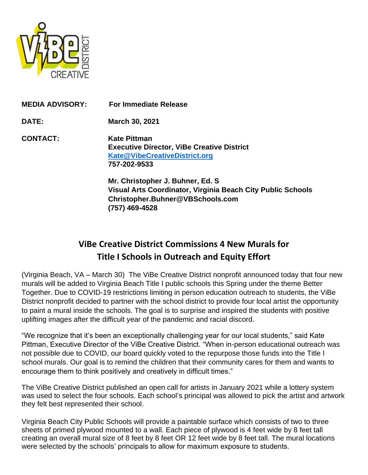

| <b>MEDIA ADVISORY:</b> | <b>For Immediate Release</b>                                                                                              |
|------------------------|---------------------------------------------------------------------------------------------------------------------------|
| DATE:                  | <b>March 30, 2021</b>                                                                                                     |
| <b>CONTACT:</b>        | <b>Kate Pittman</b><br><b>Executive Director, ViBe Creative District</b><br>Kate@VibeCreativeDistrict.org<br>757-202-9533 |

**Mr. Christopher J. Buhner, Ed. S Visual Arts Coordinator, Virginia Beach City Public Schools Christopher.Buhner@VBSchools.com (757) 469-4528**

# **ViBe Creative District Commissions 4 New Murals for Title I Schools in Outreach and Equity Effort**

(Virginia Beach, VA – March 30) The ViBe Creative District nonprofit announced today that four new murals will be added to Virginia Beach Title I public schools this Spring under the theme Better Together. Due to COVID-19 restrictions limiting in person education outreach to students, the ViBe District nonprofit decided to partner with the school district to provide four local artist the opportunity to paint a mural inside the schools. The goal is to surprise and inspired the students with positive uplifting images after the difficult year of the pandemic and racial discord.

"We recognize that it's been an exceptionally challenging year for our local students," said Kate Pittman, Executive Director of the ViBe Creative District. "When in-person educational outreach was not possible due to COVID, our board quickly voted to the repurpose those funds into the Title I school murals. Our goal is to remind the children that their community cares for them and wants to encourage them to think positively and creatively in difficult times."

The ViBe Creative District published an open call for artists in January 2021 while a lottery system was used to select the four schools. Each school's principal was allowed to pick the artist and artwork they felt best represented their school.

Virginia Beach City Public Schools will provide a paintable surface which consists of two to three sheets of primed plywood mounted to a wall. Each piece of plywood is 4 feet wide by 8 feet tall creating an overall mural size of 8 feet by 8 feet OR 12 feet wide by 8 feet tall. The mural locations were selected by the schools' principals to allow for maximum exposure to students.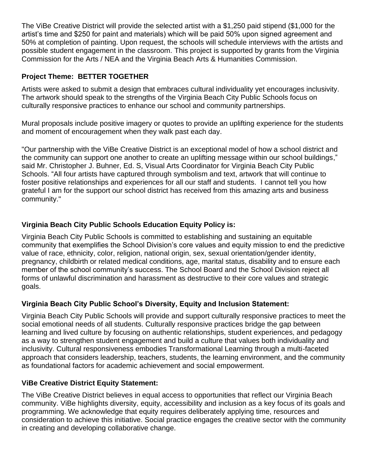The ViBe Creative District will provide the selected artist with a \$1,250 paid stipend (\$1,000 for the artist's time and \$250 for paint and materials) which will be paid 50% upon signed agreement and 50% at completion of painting. Upon request, the schools will schedule interviews with the artists and possible student engagement in the classroom. This project is supported by grants from the Virginia Commission for the Arts / NEA and the Virginia Beach Arts & Humanities Commission.

### **Project Theme: BETTER TOGETHER**

Artists were asked to submit a design that embraces cultural individuality yet encourages inclusivity. The artwork should speak to the strengths of the Virginia Beach City Public Schools focus on culturally responsive practices to enhance our school and community partnerships.

Mural proposals include positive imagery or quotes to provide an uplifting experience for the students and moment of encouragement when they walk past each day.

"Our partnership with the ViBe Creative District is an exceptional model of how a school district and the community can support one another to create an uplifting message within our school buildings," said Mr. Christopher J. Buhner, Ed. S, Visual Arts Coordinator for Virginia Beach City Public Schools. "All four artists have captured through symbolism and text, artwork that will continue to foster positive relationships and experiences for all our staff and students. I cannot tell you how grateful I am for the support our school district has received from this amazing arts and business community."

### **Virginia Beach City Public Schools Education Equity Policy is:**

Virginia Beach City Public Schools is committed to establishing and sustaining an equitable community that exemplifies the School Division's core values and equity mission to end the predictive value of race, ethnicity, color, religion, national origin, sex, sexual orientation/gender identity, pregnancy, childbirth or related medical conditions, age, marital status, disability and to ensure each member of the school community's success. The School Board and the School Division reject all forms of unlawful discrimination and harassment as destructive to their core values and strategic goals.

### **Virginia Beach City Public School's Diversity, Equity and Inclusion Statement:**

Virginia Beach City Public Schools will provide and support culturally responsive practices to meet the social emotional needs of all students. Culturally responsive practices bridge the gap between learning and lived culture by focusing on authentic relationships, student experiences, and pedagogy as a way to strengthen student engagement and build a culture that values both individuality and inclusivity. Cultural responsiveness embodies Transformational Learning through a multi-faceted approach that considers leadership, teachers, students, the learning environment, and the community as foundational factors for academic achievement and social empowerment.

### **ViBe Creative District Equity Statement:**

The ViBe Creative District believes in equal access to opportunities that reflect our Virginia Beach community. ViBe highlights diversity, equity, accessibility and inclusion as a key focus of its goals and programming. We acknowledge that equity requires deliberately applying time, resources and consideration to achieve this initiative. Social practice engages the creative sector with the community in creating and developing collaborative change.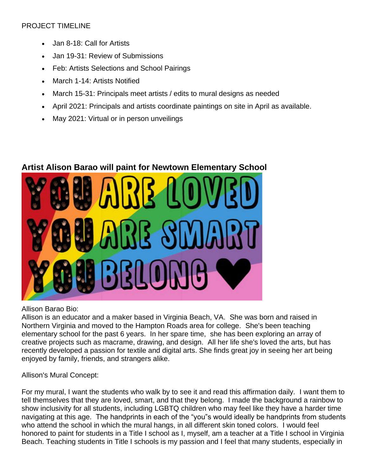### PROJECT TIMELINE

- Jan 8-18: Call for Artists
- Jan 19-31: Review of Submissions
- Feb: Artists Selections and School Pairings
- March 1-14: Artists Notified
- March 15-31: Principals meet artists / edits to mural designs as needed
- April 2021: Principals and artists coordinate paintings on site in April as available.
- May 2021: Virtual or in person unveilings

## **Artist Alison Barao will paint for Newtown Elementary School**



Allison Barao Bio:

Allison is an educator and a maker based in Virginia Beach, VA. She was born and raised in Northern Virginia and moved to the Hampton Roads area for college. She's been teaching elementary school for the past 6 years. In her spare time, she has been exploring an array of creative projects such as macrame, drawing, and design. All her life she's loved the arts, but has recently developed a passion for textile and digital arts. She finds great joy in seeing her art being enjoyed by family, friends, and strangers alike.

Allison's Mural Concept:

For my mural, I want the students who walk by to see it and read this affirmation daily. I want them to tell themselves that they are loved, smart, and that they belong. I made the background a rainbow to show inclusivity for all students, including LGBTQ children who may feel like they have a harder time navigating at this age. The handprints in each of the "you"s would ideally be handprints from students who attend the school in which the mural hangs, in all different skin toned colors. I would feel honored to paint for students in a Title I school as I, myself, am a teacher at a Title I school in Virginia Beach. Teaching students in Title I schools is my passion and I feel that many students, especially in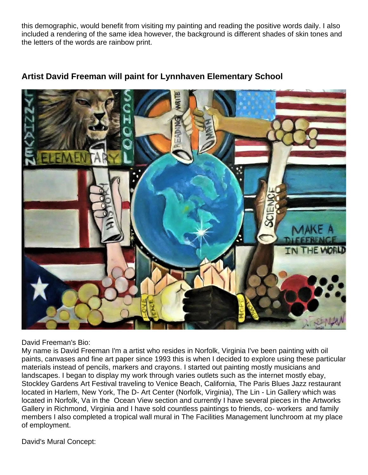this demographic, would benefit from visiting my painting and reading the positive words daily. I also included a rendering of the same idea however, the background is different shades of skin tones and the letters of the words are rainbow print.



### **Artist David Freeman will paint for Lynnhaven Elementary School**

David Freeman's Bio:

My name is David Freeman I'm a artist who resides in Norfolk, Virginia I've been painting with oil paints, canvases and fine art paper since 1993 this is when I decided to explore using these particular materials instead of pencils, markers and crayons. I started out painting mostly musicians and landscapes. I began to display my work through varies outlets such as the internet mostly ebay, Stockley Gardens Art Festival traveling to Venice Beach, California, The Paris Blues Jazz restaurant located in Harlem, New York, The D- Art Center (Norfolk, Virginia), The Lin - Lin Gallery which was located in Norfolk, Va in the Ocean View section and currently I have several pieces in the Artworks Gallery in Richmond, Virginia and I have sold countless paintings to friends, co- workers and family members I also completed a tropical wall mural in The Facilities Management lunchroom at my place of employment.

David's Mural Concept: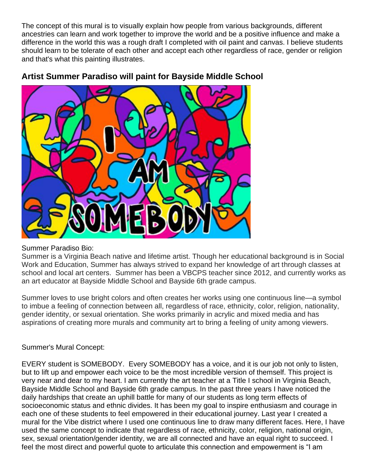The concept of this mural is to visually explain how people from various backgrounds, different ancestries can learn and work together to improve the world and be a positive influence and make a difference in the world this was a rough draft I completed with oil paint and canvas. I believe students should learn to be tolerate of each other and accept each other regardless of race, gender or religion and that's what this painting illustrates.



### **Artist Summer Paradiso will paint for Bayside Middle School**

#### Summer Paradiso Bio:

Summer is a Virginia Beach native and lifetime artist. Though her educational background is in Social Work and Education, Summer has always strived to expand her knowledge of art through classes at school and local art centers. Summer has been a VBCPS teacher since 2012, and currently works as an art educator at Bayside Middle School and Bayside 6th grade campus.

Summer loves to use bright colors and often creates her works using one continuous line—a symbol to imbue a feeling of connection between all, regardless of race, ethnicity, color, religion, nationality, gender identity, or sexual orientation. She works primarily in acrylic and mixed media and has aspirations of creating more murals and community art to bring a feeling of unity among viewers.

### Summer's Mural Concept:

EVERY student is SOMEBODY. Every SOMEBODY has a voice, and it is our job not only to listen, but to lift up and empower each voice to be the most incredible version of themself. This project is very near and dear to my heart. I am currently the art teacher at a Title I school in Virginia Beach, Bayside Middle School and Bayside 6th grade campus. In the past three years I have noticed the daily hardships that create an uphill battle for many of our students as long term effects of socioeconomic status and ethnic divides. It has been my goal to inspire enthusiasm and courage in each one of these students to feel empowered in their educational journey. Last year I created a mural for the Vibe district where I used one continuous line to draw many different faces. Here, I have used the same concept to indicate that regardless of race, ethnicity, color, religion, national origin, sex, sexual orientation/gender identity, we are all connected and have an equal right to succeed. I feel the most direct and powerful quote to articulate this connection and empowerment is "I am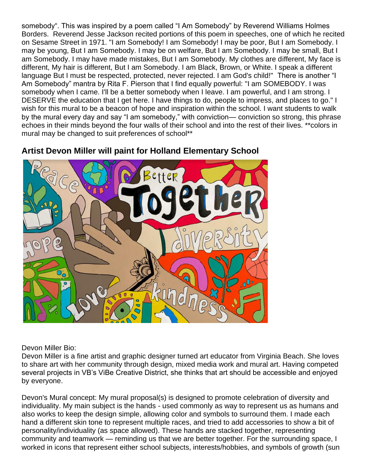somebody". This was inspired by a poem called "I Am Somebody" by Reverend Williams Holmes Borders. Reverend Jesse Jackson recited portions of this poem in speeches, one of which he recited on Sesame Street in 1971. "I am Somebody! I am Somebody! I may be poor, But I am Somebody. I may be young, But I am Somebody. I may be on welfare, But I am Somebody. I may be small, But I am Somebody. I may have made mistakes, But I am Somebody. My clothes are different, My face is different, My hair is different, But I am Somebody. I am Black, Brown, or White. I speak a different language But I must be respected, protected, never rejected. I am God's child!" There is another "I Am Somebody" mantra by Rita F. Pierson that I find equally powerful: "I am SOMEBODY. I was somebody when I came. I'll be a better somebody when I leave. I am powerful, and I am strong. I DESERVE the education that I get here. I have things to do, people to impress, and places to go." I wish for this mural to be a beacon of hope and inspiration within the school. I want students to walk by the mural every day and say "I am somebody," with conviction— conviction so strong, this phrase echoes in their minds beyond the four walls of their school and into the rest of their lives. \*\*colors in mural may be changed to suit preferences of school\*\*



### **Artist Devon Miller will paint for Holland Elementary School**

Devon Miller Bio:

Devon Miller is a fine artist and graphic designer turned art educator from Virginia Beach. She loves to share art with her community through design, mixed media work and mural art. Having competed several projects in VB's ViBe Creative District, she thinks that art should be accessible and enjoyed by everyone.

Devon's Mural concept: My mural proposal(s) is designed to promote celebration of diversity and individuality. My main subject is the hands - used commonly as way to represent us as humans and also works to keep the design simple, allowing color and symbols to surround them. I made each hand a different skin tone to represent multiple races, and tried to add accessories to show a bit of personality/individuality (as space allowed). These hands are stacked together, representing community and teamwork — reminding us that we are better together. For the surrounding space, I worked in icons that represent either school subjects, interests/hobbies, and symbols of growth (sun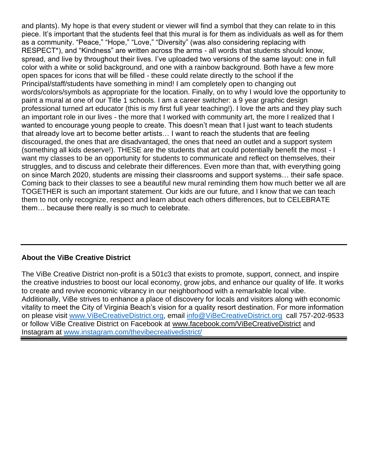and plants). My hope is that every student or viewer will find a symbol that they can relate to in this piece. It's important that the students feel that this mural is for them as individuals as well as for them as a community. "Peace," "Hope," "Love," "Diversity" (was also considering replacing with RESPECT\*), and "Kindness" are written across the arms - all words that students should know, spread, and live by throughout their lives. I've uploaded two versions of the same layout: one in full color with a white or solid background, and one with a rainbow background. Both have a few more open spaces for icons that will be filled - these could relate directly to the school if the Principal/staff/students have something in mind! I am completely open to changing out words/colors/symbols as appropriate for the location. Finally, on to why I would love the opportunity to paint a mural at one of our Title 1 schools. I am a career switcher: a 9 year graphic design professional turned art educator (this is my first full year teaching!). I love the arts and they play such an important role in our lives - the more that I worked with community art, the more I realized that I wanted to encourage young people to create. This doesn't mean that I just want to teach students that already love art to become better artists… I want to reach the students that are feeling discouraged, the ones that are disadvantaged, the ones that need an outlet and a support system (something all kids deserve!). THESE are the students that art could potentially benefit the most - I want my classes to be an opportunity for students to communicate and reflect on themselves, their struggles, and to discuss and celebrate their differences. Even more than that, with everything going on since March 2020, students are missing their classrooms and support systems… their safe space. Coming back to their classes to see a beautiful new mural reminding them how much better we all are TOGETHER is such an important statement. Our kids are our future, and I know that we can teach them to not only recognize, respect and learn about each others differences, but to CELEBRATE them… because there really is so much to celebrate.

### **About the ViBe Creative District**

The ViBe Creative District non-profit is a 501c3 that exists to promote, support, connect, and inspire the creative industries to boost our local economy, grow jobs, and enhance our quality of life. It works to create and revive economic vibrancy in our neighborhood with a remarkable local vibe. Additionally, ViBe strives to enhance a place of discovery for locals and visitors along with economic vitality to meet the City of Virginia Beach's vision for a quality resort destination. For more information on please visit [www.ViBeCreativeDistrict.org,](http://www.vibecreativedistrict.org/) email [info@ViBeCreativeDistrict.org](mailto:info@ViBeCreativeDistrict.org) call 757-202-9533 or follow ViBe Creative District on Facebook at www.facebook.com/ViBeCreativeDistrict and Instagram at [www.instagram.com/thevibecreativedistrict/](http://www.instagram.com/thevibecreativedistrict/)